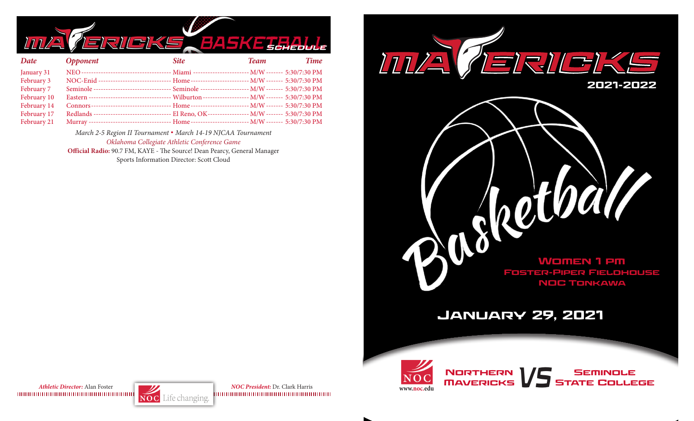

| Date        | <b>Opponent</b>                                                                                   | <b>Site</b> | Team | <b>Time</b> |
|-------------|---------------------------------------------------------------------------------------------------|-------------|------|-------------|
| January 31  |                                                                                                   |             |      |             |
| February 3  | NOC-Enid ------------------------------ Home ------------------------- M/W ------- 5:30/7:30 PM   |             |      |             |
| February 7  | Seminole -------------------------------- Seminole -------------------- M/W ------- 5:30/7:30 PM  |             |      |             |
| February 10 | Eastern ---------------------------------- Wilburton ------------------ M/W ------- 5:30/7:30 PM  |             |      |             |
| February 14 |                                                                                                   |             |      |             |
| February 17 | Redlands ---------------------------------- El Reno, OK----------------- M/W ------- 5:30/7:30 PM |             |      |             |
| February 21 | Murray ---------------------------------- Home ------------------------- M/W ------- 5:30/7:30 PM |             |      |             |

*March 2-5 Region II Tournament* **.** *March 14-19 NJCAA Tournament Oklahoma Collegiate Athletic Conference Game*

**Official Radio:** 90.7 FM, KAYE - The Source! Dean Pearcy, General Manager Sports Information Director: Scott Cloud